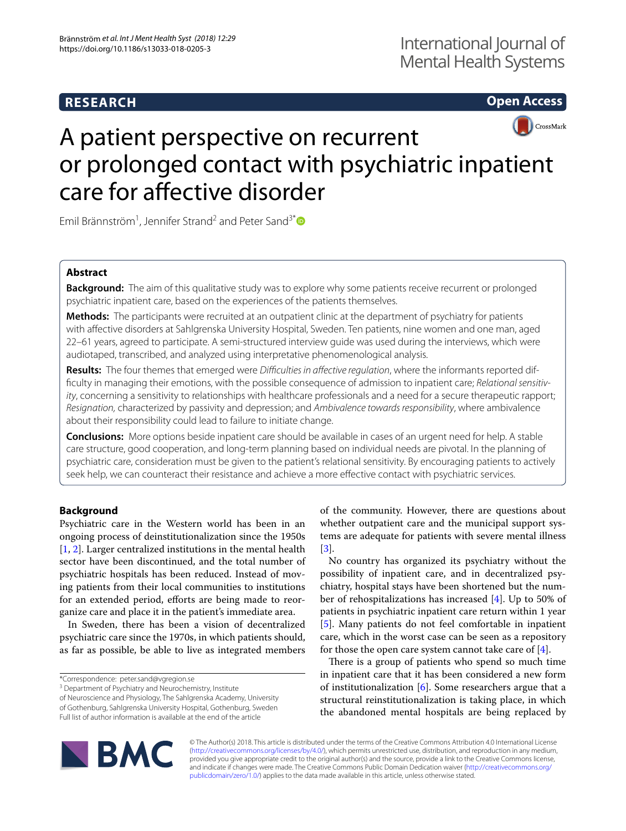# **RESEARCH**

**Open Access**



# A patient perspective on recurrent or prolonged contact with psychiatric inpatient care for afective disorder

Emil Brännström<sup>1</sup>, Jennifer Strand<sup>2</sup> and Peter Sand<sup>3[\\*](http://orcid.org/0000-0003-4737-5670)</sup>

# **Abstract**

**Background:** The aim of this qualitative study was to explore why some patients receive recurrent or prolonged psychiatric inpatient care, based on the experiences of the patients themselves.

**Methods:** The participants were recruited at an outpatient clinic at the department of psychiatry for patients with afective disorders at Sahlgrenska University Hospital, Sweden. Ten patients, nine women and one man, aged 22–61 years, agreed to participate. A semi-structured interview guide was used during the interviews, which were audiotaped, transcribed, and analyzed using interpretative phenomenological analysis.

**Results:** The four themes that emerged were *Difculties in afective regulation*, where the informants reported diffculty in managing their emotions, with the possible consequence of admission to inpatient care; *Relational sensitivity*, concerning a sensitivity to relationships with healthcare professionals and a need for a secure therapeutic rapport; *Resignation,* characterized by passivity and depression; and *Ambivalence towards responsibility*, where ambivalence about their responsibility could lead to failure to initiate change.

**Conclusions:** More options beside inpatient care should be available in cases of an urgent need for help. A stable care structure, good cooperation, and long-term planning based on individual needs are pivotal. In the planning of psychiatric care, consideration must be given to the patient's relational sensitivity. By encouraging patients to actively seek help, we can counteract their resistance and achieve a more efective contact with psychiatric services.

# **Background**

Psychiatric care in the Western world has been in an ongoing process of deinstitutionalization since the 1950s [[1,](#page-9-0) [2](#page-9-1)]. Larger centralized institutions in the mental health sector have been discontinued, and the total number of psychiatric hospitals has been reduced. Instead of moving patients from their local communities to institutions for an extended period, efforts are being made to reorganize care and place it in the patient's immediate area.

In Sweden, there has been a vision of decentralized psychiatric care since the 1970s, in which patients should, as far as possible, be able to live as integrated members

\*Correspondence: peter.sand@vgregion.se

<sup>3</sup> Department of Psychiatry and Neurochemistry, Institute

of Neuroscience and Physiology, The Sahlgrenska Academy, University of Gothenburg, Sahlgrenska University Hospital, Gothenburg, Sweden Full list of author information is available at the end of the article

of the community. However, there are questions about whether outpatient care and the municipal support systems are adequate for patients with severe mental illness [[3\]](#page-9-2).

No country has organized its psychiatry without the possibility of inpatient care, and in decentralized psychiatry, hospital stays have been shortened but the number of rehospitalizations has increased [\[4](#page-9-3)]. Up to 50% of patients in psychiatric inpatient care return within 1 year [[5\]](#page-9-4). Many patients do not feel comfortable in inpatient care, which in the worst case can be seen as a repository for those the open care system cannot take care of [\[4](#page-9-3)].

There is a group of patients who spend so much time in inpatient care that it has been considered a new form of institutionalization [\[6\]](#page-9-5). Some researchers argue that a structural reinstitutionalization is taking place, in which the abandoned mental hospitals are being replaced by



© The Author(s) 2018. This article is distributed under the terms of the Creative Commons Attribution 4.0 International License [\(http://creativecommons.org/licenses/by/4.0/\)](http://creativecommons.org/licenses/by/4.0/), which permits unrestricted use, distribution, and reproduction in any medium, provided you give appropriate credit to the original author(s) and the source, provide a link to the Creative Commons license, and indicate if changes were made. The Creative Commons Public Domain Dedication waiver ([http://creativecommons.org/](http://creativecommons.org/publicdomain/zero/1.0/) [publicdomain/zero/1.0/](http://creativecommons.org/publicdomain/zero/1.0/)) applies to the data made available in this article, unless otherwise stated.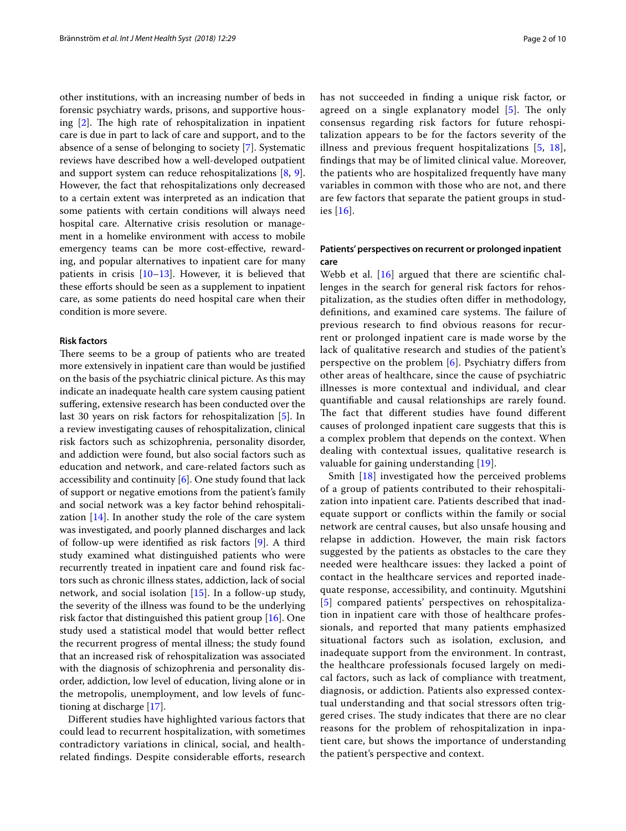other institutions, with an increasing number of beds in forensic psychiatry wards, prisons, and supportive housing  $[2]$  $[2]$ . The high rate of rehospitalization in inpatient care is due in part to lack of care and support, and to the absence of a sense of belonging to society [[7\]](#page-9-6). Systematic reviews have described how a well-developed outpatient and support system can reduce rehospitalizations [[8,](#page-9-7) [9](#page-9-8)]. However, the fact that rehospitalizations only decreased to a certain extent was interpreted as an indication that some patients with certain conditions will always need hospital care. Alternative crisis resolution or management in a homelike environment with access to mobile emergency teams can be more cost-efective, rewarding, and popular alternatives to inpatient care for many patients in crisis  $[10-13]$  $[10-13]$  $[10-13]$ . However, it is believed that these efforts should be seen as a supplement to inpatient care, as some patients do need hospital care when their condition is more severe.

#### **Risk factors**

There seems to be a group of patients who are treated more extensively in inpatient care than would be justifed on the basis of the psychiatric clinical picture. As this may indicate an inadequate health care system causing patient sufering, extensive research has been conducted over the last 30 years on risk factors for rehospitalization [[5\]](#page-9-4). In a review investigating causes of rehospitalization, clinical risk factors such as schizophrenia, personality disorder, and addiction were found, but also social factors such as education and network, and care-related factors such as accessibility and continuity [\[6](#page-9-5)]. One study found that lack of support or negative emotions from the patient's family and social network was a key factor behind rehospitalization  $[14]$  $[14]$ . In another study the role of the care system was investigated, and poorly planned discharges and lack of follow-up were identifed as risk factors [\[9](#page-9-8)]. A third study examined what distinguished patients who were recurrently treated in inpatient care and found risk factors such as chronic illness states, addiction, lack of social network, and social isolation [\[15](#page-9-12)]. In a follow-up study, the severity of the illness was found to be the underlying risk factor that distinguished this patient group [\[16](#page-9-13)]. One study used a statistical model that would better refect the recurrent progress of mental illness; the study found that an increased risk of rehospitalization was associated with the diagnosis of schizophrenia and personality disorder, addiction, low level of education, living alone or in the metropolis, unemployment, and low levels of functioning at discharge [[17](#page-9-14)].

Diferent studies have highlighted various factors that could lead to recurrent hospitalization, with sometimes contradictory variations in clinical, social, and healthrelated fndings. Despite considerable eforts, research has not succeeded in fnding a unique risk factor, or agreed on a single explanatory model  $[5]$  $[5]$ . The only consensus regarding risk factors for future rehospitalization appears to be for the factors severity of the illness and previous frequent hospitalizations [[5](#page-9-4), [18](#page-9-15)], fndings that may be of limited clinical value. Moreover, the patients who are hospitalized frequently have many variables in common with those who are not, and there are few factors that separate the patient groups in studies [[16\]](#page-9-13).

# **Patients' perspectives on recurrent or prolonged inpatient care**

Webb et al. [[16](#page-9-13)] argued that there are scientific challenges in the search for general risk factors for rehospitalization, as the studies often difer in methodology, definitions, and examined care systems. The failure of previous research to fnd obvious reasons for recurrent or prolonged inpatient care is made worse by the lack of qualitative research and studies of the patient's perspective on the problem [[6](#page-9-5)]. Psychiatry difers from other areas of healthcare, since the cause of psychiatric illnesses is more contextual and individual, and clear quantifable and causal relationships are rarely found. The fact that different studies have found different causes of prolonged inpatient care suggests that this is a complex problem that depends on the context. When dealing with contextual issues, qualitative research is valuable for gaining understanding [[19](#page-9-16)].

Smith [[18](#page-9-15)] investigated how the perceived problems of a group of patients contributed to their rehospitalization into inpatient care. Patients described that inadequate support or conficts within the family or social network are central causes, but also unsafe housing and relapse in addiction. However, the main risk factors suggested by the patients as obstacles to the care they needed were healthcare issues: they lacked a point of contact in the healthcare services and reported inadequate response, accessibility, and continuity. Mgutshini [[5](#page-9-4)] compared patients' perspectives on rehospitalization in inpatient care with those of healthcare professionals, and reported that many patients emphasized situational factors such as isolation, exclusion, and inadequate support from the environment. In contrast, the healthcare professionals focused largely on medical factors, such as lack of compliance with treatment, diagnosis, or addiction. Patients also expressed contextual understanding and that social stressors often triggered crises. The study indicates that there are no clear reasons for the problem of rehospitalization in inpatient care, but shows the importance of understanding the patient's perspective and context.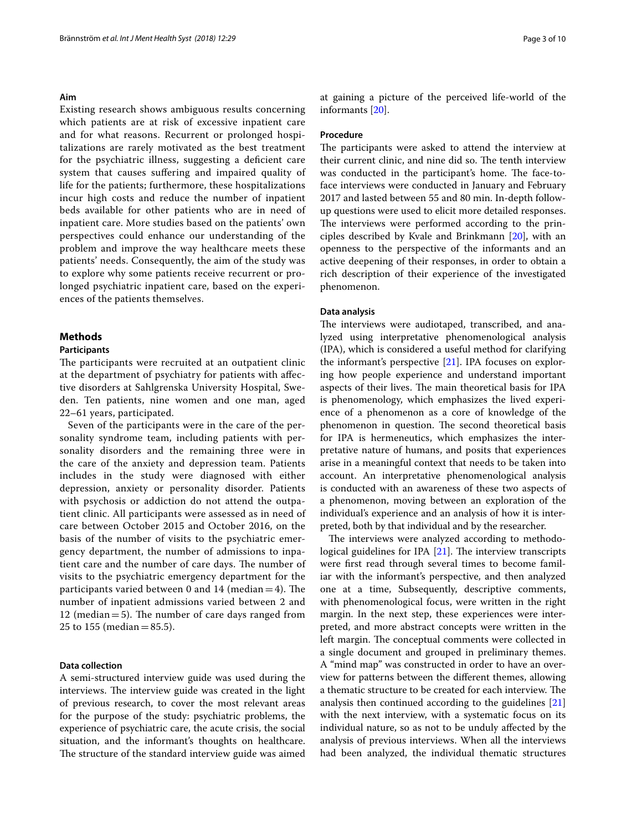#### **Aim**

Existing research shows ambiguous results concerning which patients are at risk of excessive inpatient care and for what reasons. Recurrent or prolonged hospitalizations are rarely motivated as the best treatment for the psychiatric illness, suggesting a defcient care system that causes sufering and impaired quality of life for the patients; furthermore, these hospitalizations incur high costs and reduce the number of inpatient beds available for other patients who are in need of inpatient care. More studies based on the patients' own perspectives could enhance our understanding of the problem and improve the way healthcare meets these patients' needs. Consequently, the aim of the study was to explore why some patients receive recurrent or prolonged psychiatric inpatient care, based on the experiences of the patients themselves.

# **Methods**

# **Participants**

The participants were recruited at an outpatient clinic at the department of psychiatry for patients with afective disorders at Sahlgrenska University Hospital, Sweden. Ten patients, nine women and one man, aged 22–61 years, participated.

Seven of the participants were in the care of the personality syndrome team, including patients with personality disorders and the remaining three were in the care of the anxiety and depression team. Patients includes in the study were diagnosed with either depression, anxiety or personality disorder. Patients with psychosis or addiction do not attend the outpatient clinic. All participants were assessed as in need of care between October 2015 and October 2016, on the basis of the number of visits to the psychiatric emergency department, the number of admissions to inpatient care and the number of care days. The number of visits to the psychiatric emergency department for the participants varied between 0 and 14 (median  $=$  4). The number of inpatient admissions varied between 2 and 12 (median  $=$  5). The number of care days ranged from 25 to 155 (median =  $85.5$ ).

# **Data collection**

A semi-structured interview guide was used during the interviews. The interview guide was created in the light of previous research, to cover the most relevant areas for the purpose of the study: psychiatric problems, the experience of psychiatric care, the acute crisis, the social situation, and the informant's thoughts on healthcare. The structure of the standard interview guide was aimed at gaining a picture of the perceived life-world of the informants [\[20](#page-9-17)].

#### **Procedure**

The participants were asked to attend the interview at their current clinic, and nine did so. The tenth interview was conducted in the participant's home. The face-toface interviews were conducted in January and February 2017 and lasted between 55 and 80 min. In-depth followup questions were used to elicit more detailed responses. The interviews were performed according to the principles described by Kvale and Brinkmann [\[20](#page-9-17)], with an openness to the perspective of the informants and an active deepening of their responses, in order to obtain a rich description of their experience of the investigated phenomenon.

#### **Data analysis**

The interviews were audiotaped, transcribed, and analyzed using interpretative phenomenological analysis (IPA), which is considered a useful method for clarifying the informant's perspective  $[21]$  $[21]$ . IPA focuses on exploring how people experience and understand important aspects of their lives. The main theoretical basis for IPA is phenomenology, which emphasizes the lived experience of a phenomenon as a core of knowledge of the phenomenon in question. The second theoretical basis for IPA is hermeneutics, which emphasizes the interpretative nature of humans, and posits that experiences arise in a meaningful context that needs to be taken into account. An interpretative phenomenological analysis is conducted with an awareness of these two aspects of a phenomenon, moving between an exploration of the individual's experience and an analysis of how it is interpreted, both by that individual and by the researcher.

The interviews were analyzed according to methodological guidelines for IPA  $[21]$  $[21]$ . The interview transcripts were frst read through several times to become familiar with the informant's perspective, and then analyzed one at a time, Subsequently, descriptive comments, with phenomenological focus, were written in the right margin. In the next step, these experiences were interpreted, and more abstract concepts were written in the left margin. The conceptual comments were collected in a single document and grouped in preliminary themes. A "mind map" was constructed in order to have an overview for patterns between the diferent themes, allowing a thematic structure to be created for each interview. The analysis then continued according to the guidelines [[21](#page-9-18)] with the next interview, with a systematic focus on its individual nature, so as not to be unduly afected by the analysis of previous interviews. When all the interviews had been analyzed, the individual thematic structures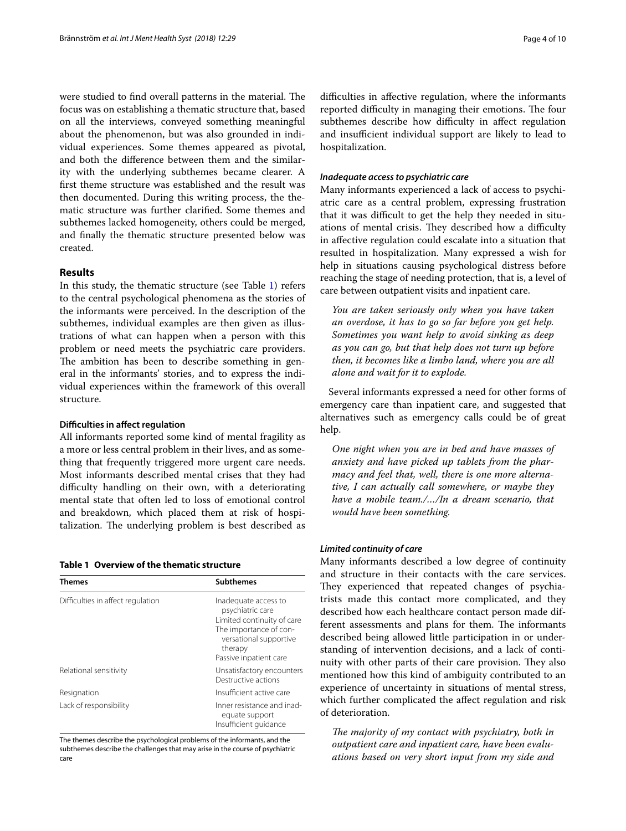were studied to find overall patterns in the material. The focus was on establishing a thematic structure that, based on all the interviews, conveyed something meaningful about the phenomenon, but was also grounded in individual experiences. Some themes appeared as pivotal, and both the diference between them and the similarity with the underlying subthemes became clearer. A frst theme structure was established and the result was then documented. During this writing process, the thematic structure was further clarifed. Some themes and subthemes lacked homogeneity, others could be merged, and fnally the thematic structure presented below was created.

# **Results**

In this study, the thematic structure (see Table [1\)](#page-3-0) refers to the central psychological phenomena as the stories of the informants were perceived. In the description of the subthemes, individual examples are then given as illustrations of what can happen when a person with this problem or need meets the psychiatric care providers. The ambition has been to describe something in general in the informants' stories, and to express the individual experiences within the framework of this overall structure.

# **Difculties in afect regulation**

All informants reported some kind of mental fragility as a more or less central problem in their lives, and as something that frequently triggered more urgent care needs. Most informants described mental crises that they had difficulty handling on their own, with a deteriorating mental state that often led to loss of emotional control and breakdown, which placed them at risk of hospitalization. The underlying problem is best described as

#### <span id="page-3-0"></span>**Table 1 Overview of the thematic structure**

| Themes                            | <b>Subthemes</b>                                                                                                                                                |
|-----------------------------------|-----------------------------------------------------------------------------------------------------------------------------------------------------------------|
| Difficulties in affect regulation | Inadequate access to<br>psychiatric care<br>Limited continuity of care<br>The importance of con-<br>versational supportive<br>therapy<br>Passive inpatient care |
| Relational sensitivity            | Unsatisfactory encounters<br>Destructive actions                                                                                                                |
| Resignation                       | Insufficient active care                                                                                                                                        |
| Lack of responsibility            | Inner resistance and inad-<br>equate support<br>Insufficient quidance                                                                                           |

The themes describe the psychological problems of the informants, and the subthemes describe the challenges that may arise in the course of psychiatric care

difficulties in affective regulation, where the informants reported difficulty in managing their emotions. The four subthemes describe how difficulty in affect regulation and insufficient individual support are likely to lead to hospitalization.

# *Inadequate access to psychiatric care*

Many informants experienced a lack of access to psychiatric care as a central problem, expressing frustration that it was difficult to get the help they needed in situations of mental crisis. They described how a difficulty in afective regulation could escalate into a situation that resulted in hospitalization. Many expressed a wish for help in situations causing psychological distress before reaching the stage of needing protection, that is, a level of care between outpatient visits and inpatient care.

*You are taken seriously only when you have taken an overdose, it has to go so far before you get help. Sometimes you want help to avoid sinking as deep as you can go, but that help does not turn up before then, it becomes like a limbo land, where you are all alone and wait for it to explode.*

Several informants expressed a need for other forms of emergency care than inpatient care, and suggested that alternatives such as emergency calls could be of great help.

*One night when you are in bed and have masses of anxiety and have picked up tablets from the pharmacy and feel that, well, there is one more alternative, I can actually call somewhere, or maybe they have a mobile team./…/In a dream scenario, that would have been something.*

## *Limited continuity of care*

Many informants described a low degree of continuity and structure in their contacts with the care services. They experienced that repeated changes of psychiatrists made this contact more complicated, and they described how each healthcare contact person made different assessments and plans for them. The informants described being allowed little participation in or understanding of intervention decisions, and a lack of continuity with other parts of their care provision. They also mentioned how this kind of ambiguity contributed to an experience of uncertainty in situations of mental stress, which further complicated the afect regulation and risk of deterioration.

*The majority of my contact with psychiatry, both in outpatient care and inpatient care, have been evaluations based on very short input from my side and*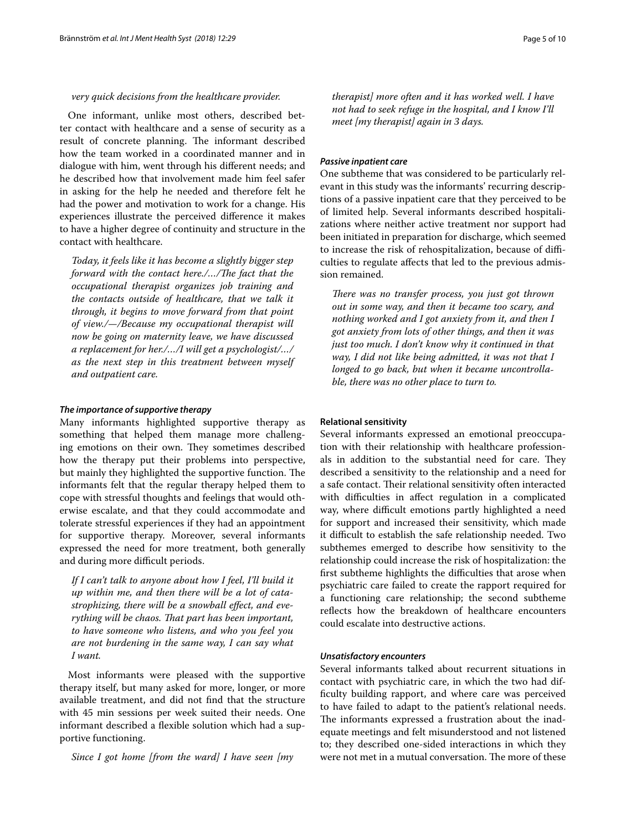# *very quick decisions from the healthcare provider.*

One informant, unlike most others, described better contact with healthcare and a sense of security as a result of concrete planning. The informant described how the team worked in a coordinated manner and in dialogue with him, went through his diferent needs; and he described how that involvement made him feel safer in asking for the help he needed and therefore felt he had the power and motivation to work for a change. His experiences illustrate the perceived diference it makes to have a higher degree of continuity and structure in the contact with healthcare.

*Today, it feels like it has become a slightly bigger step forward with the contact here./.../The fact that the occupational therapist organizes job training and the contacts outside of healthcare, that we talk it through, it begins to move forward from that point of view./—/Because my occupational therapist will now be going on maternity leave, we have discussed a replacement for her./…/I will get a psychologist/…/ as the next step in this treatment between myself and outpatient care.*

#### *The importance ofsupportive therapy*

Many informants highlighted supportive therapy as something that helped them manage more challenging emotions on their own. They sometimes described how the therapy put their problems into perspective, but mainly they highlighted the supportive function. The informants felt that the regular therapy helped them to cope with stressful thoughts and feelings that would otherwise escalate, and that they could accommodate and tolerate stressful experiences if they had an appointment for supportive therapy. Moreover, several informants expressed the need for more treatment, both generally and during more difficult periods.

*If I can't talk to anyone about how I feel, I'll build it up within me, and then there will be a lot of catastrophizing, there will be a snowball efect, and everything will be chaos. Tat part has been important, to have someone who listens, and who you feel you are not burdening in the same way, I can say what I want.*

Most informants were pleased with the supportive therapy itself, but many asked for more, longer, or more available treatment, and did not fnd that the structure with 45 min sessions per week suited their needs. One informant described a fexible solution which had a supportive functioning.

*Since I got home [from the ward] I have seen [my* 

*therapist] more often and it has worked well. I have not had to seek refuge in the hospital, and I know I'll meet [my therapist] again in 3 days.*

# *Passive inpatient care*

One subtheme that was considered to be particularly relevant in this study was the informants' recurring descriptions of a passive inpatient care that they perceived to be of limited help. Several informants described hospitalizations where neither active treatment nor support had been initiated in preparation for discharge, which seemed to increase the risk of rehospitalization, because of difficulties to regulate afects that led to the previous admission remained.

*There was no transfer process, you just got thrown out in some way, and then it became too scary, and nothing worked and I got anxiety from it, and then I got anxiety from lots of other things, and then it was just too much. I don't know why it continued in that way, I did not like being admitted, it was not that I longed to go back, but when it became uncontrollable, there was no other place to turn to.*

#### **Relational sensitivity**

Several informants expressed an emotional preoccupation with their relationship with healthcare professionals in addition to the substantial need for care. They described a sensitivity to the relationship and a need for a safe contact. Their relational sensitivity often interacted with difficulties in affect regulation in a complicated way, where difficult emotions partly highlighted a need for support and increased their sensitivity, which made it difficult to establish the safe relationship needed. Two subthemes emerged to describe how sensitivity to the relationship could increase the risk of hospitalization: the first subtheme highlights the difficulties that arose when psychiatric care failed to create the rapport required for a functioning care relationship; the second subtheme refects how the breakdown of healthcare encounters could escalate into destructive actions.

#### *Unsatisfactory encounters*

Several informants talked about recurrent situations in contact with psychiatric care, in which the two had diffculty building rapport, and where care was perceived to have failed to adapt to the patient's relational needs. The informants expressed a frustration about the inadequate meetings and felt misunderstood and not listened to; they described one-sided interactions in which they were not met in a mutual conversation. The more of these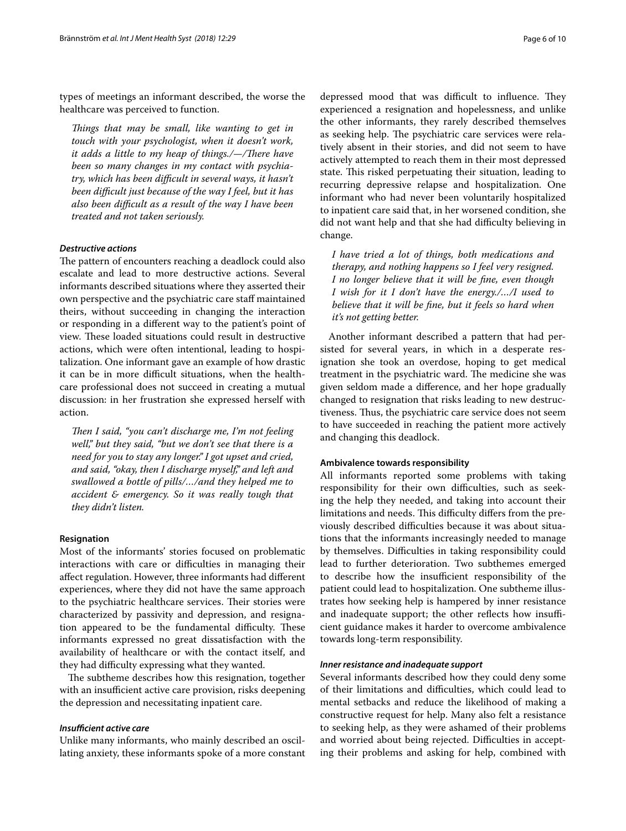types of meetings an informant described, the worse the healthcare was perceived to function.

*Tings that may be small, like wanting to get in touch with your psychologist, when it doesn't work, it adds a little to my heap of things./-/There have been so many changes in my contact with psychiatry, which has been difcult in several ways, it hasn't been difcult just because of the way I feel, but it has also been difcult as a result of the way I have been treated and not taken seriously.*

#### *Destructive actions*

The pattern of encounters reaching a deadlock could also escalate and lead to more destructive actions. Several informants described situations where they asserted their own perspective and the psychiatric care staf maintained theirs, without succeeding in changing the interaction or responding in a diferent way to the patient's point of view. These loaded situations could result in destructive actions, which were often intentional, leading to hospitalization. One informant gave an example of how drastic it can be in more difficult situations, when the healthcare professional does not succeed in creating a mutual discussion: in her frustration she expressed herself with action.

*Then I said, "you can't discharge me, I'm not feeling well," but they said, "but we don't see that there is a need for you to stay any longer." I got upset and cried, and said, "okay, then I discharge myself," and left and swallowed a bottle of pills/…/and they helped me to accident & emergency. So it was really tough that they didn't listen.*

# **Resignation**

Most of the informants' stories focused on problematic interactions with care or difficulties in managing their afect regulation. However, three informants had diferent experiences, where they did not have the same approach to the psychiatric healthcare services. Their stories were characterized by passivity and depression, and resignation appeared to be the fundamental difficulty. These informants expressed no great dissatisfaction with the availability of healthcare or with the contact itself, and they had difficulty expressing what they wanted.

The subtheme describes how this resignation, together with an insufficient active care provision, risks deepening the depression and necessitating inpatient care.

# *Insufficient active care*

Unlike many informants, who mainly described an oscillating anxiety, these informants spoke of a more constant

depressed mood that was difficult to influence. They experienced a resignation and hopelessness, and unlike the other informants, they rarely described themselves as seeking help. The psychiatric care services were relatively absent in their stories, and did not seem to have actively attempted to reach them in their most depressed state. This risked perpetuating their situation, leading to recurring depressive relapse and hospitalization. One informant who had never been voluntarily hospitalized to inpatient care said that, in her worsened condition, she did not want help and that she had difficulty believing in change.

*I have tried a lot of things, both medications and therapy, and nothing happens so I feel very resigned. I no longer believe that it will be fne, even though I wish for it I don't have the energy./…/I used to believe that it will be fne, but it feels so hard when it's not getting better.*

Another informant described a pattern that had persisted for several years, in which in a desperate resignation she took an overdose, hoping to get medical treatment in the psychiatric ward. The medicine she was given seldom made a diference, and her hope gradually changed to resignation that risks leading to new destructiveness. Thus, the psychiatric care service does not seem to have succeeded in reaching the patient more actively and changing this deadlock.

# **Ambivalence towards responsibility**

All informants reported some problems with taking responsibility for their own difficulties, such as seeking the help they needed, and taking into account their limitations and needs. This difficulty differs from the previously described difficulties because it was about situations that the informants increasingly needed to manage by themselves. Difficulties in taking responsibility could lead to further deterioration. Two subthemes emerged to describe how the insufficient responsibility of the patient could lead to hospitalization. One subtheme illustrates how seeking help is hampered by inner resistance and inadequate support; the other reflects how insufficient guidance makes it harder to overcome ambivalence towards long-term responsibility.

# *Inner resistance and inadequate support*

Several informants described how they could deny some of their limitations and difficulties, which could lead to mental setbacks and reduce the likelihood of making a constructive request for help. Many also felt a resistance to seeking help, as they were ashamed of their problems and worried about being rejected. Difficulties in accepting their problems and asking for help, combined with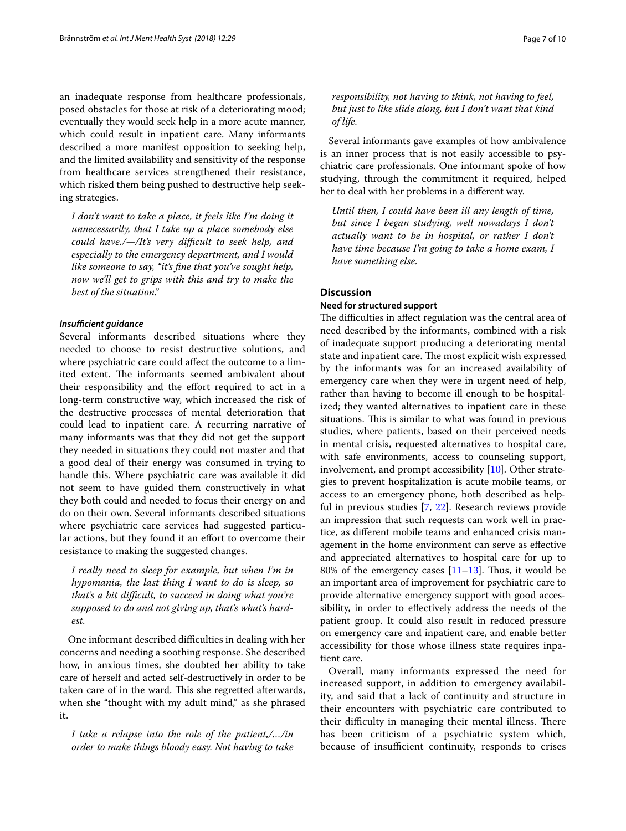an inadequate response from healthcare professionals, posed obstacles for those at risk of a deteriorating mood; eventually they would seek help in a more acute manner, which could result in inpatient care. Many informants described a more manifest opposition to seeking help, and the limited availability and sensitivity of the response from healthcare services strengthened their resistance, which risked them being pushed to destructive help seeking strategies.

*I don't want to take a place, it feels like I'm doing it unnecessarily, that I take up a place somebody else*  could have./-/It's very difficult to seek help, and *especially to the emergency department, and I would like someone to say, "it's fne that you've sought help, now we'll get to grips with this and try to make the best of the situation."*

#### *Insufficient guidance*

Several informants described situations where they needed to choose to resist destructive solutions, and where psychiatric care could afect the outcome to a limited extent. The informants seemed ambivalent about their responsibility and the efort required to act in a long-term constructive way, which increased the risk of the destructive processes of mental deterioration that could lead to inpatient care. A recurring narrative of many informants was that they did not get the support they needed in situations they could not master and that a good deal of their energy was consumed in trying to handle this. Where psychiatric care was available it did not seem to have guided them constructively in what they both could and needed to focus their energy on and do on their own. Several informants described situations where psychiatric care services had suggested particular actions, but they found it an efort to overcome their resistance to making the suggested changes.

*I really need to sleep for example, but when I'm in hypomania, the last thing I want to do is sleep, so that's a bit difcult, to succeed in doing what you're supposed to do and not giving up, that's what's hardest.*

One informant described difficulties in dealing with her concerns and needing a soothing response. She described how, in anxious times, she doubted her ability to take care of herself and acted self-destructively in order to be taken care of in the ward. This she regretted afterwards, when she "thought with my adult mind," as she phrased it.

*I take a relapse into the role of the patient,/…/in order to make things bloody easy. Not having to take* 

*responsibility, not having to think, not having to feel, but just to like slide along, but I don't want that kind of life.*

Several informants gave examples of how ambivalence is an inner process that is not easily accessible to psychiatric care professionals. One informant spoke of how studying, through the commitment it required, helped her to deal with her problems in a diferent way.

*Until then, I could have been ill any length of time, but since I began studying, well nowadays I don't actually want to be in hospital, or rather I don't have time because I'm going to take a home exam, I have something else.*

# **Discussion**

# **Need for structured support**

The difficulties in affect regulation was the central area of need described by the informants, combined with a risk of inadequate support producing a deteriorating mental state and inpatient care. The most explicit wish expressed by the informants was for an increased availability of emergency care when they were in urgent need of help, rather than having to become ill enough to be hospitalized; they wanted alternatives to inpatient care in these situations. This is similar to what was found in previous studies, where patients, based on their perceived needs in mental crisis, requested alternatives to hospital care, with safe environments, access to counseling support, involvement, and prompt accessibility [[10\]](#page-9-9). Other strategies to prevent hospitalization is acute mobile teams, or access to an emergency phone, both described as helpful in previous studies [[7,](#page-9-6) [22](#page-9-19)]. Research reviews provide an impression that such requests can work well in practice, as diferent mobile teams and enhanced crisis management in the home environment can serve as efective and appreciated alternatives to hospital care for up to 80% of the emergency cases  $[11–13]$  $[11–13]$  $[11–13]$  $[11–13]$ . Thus, it would be an important area of improvement for psychiatric care to provide alternative emergency support with good accessibility, in order to efectively address the needs of the patient group. It could also result in reduced pressure on emergency care and inpatient care, and enable better accessibility for those whose illness state requires inpatient care.

Overall, many informants expressed the need for increased support, in addition to emergency availability, and said that a lack of continuity and structure in their encounters with psychiatric care contributed to their difficulty in managing their mental illness. There has been criticism of a psychiatric system which, because of insufficient continuity, responds to crises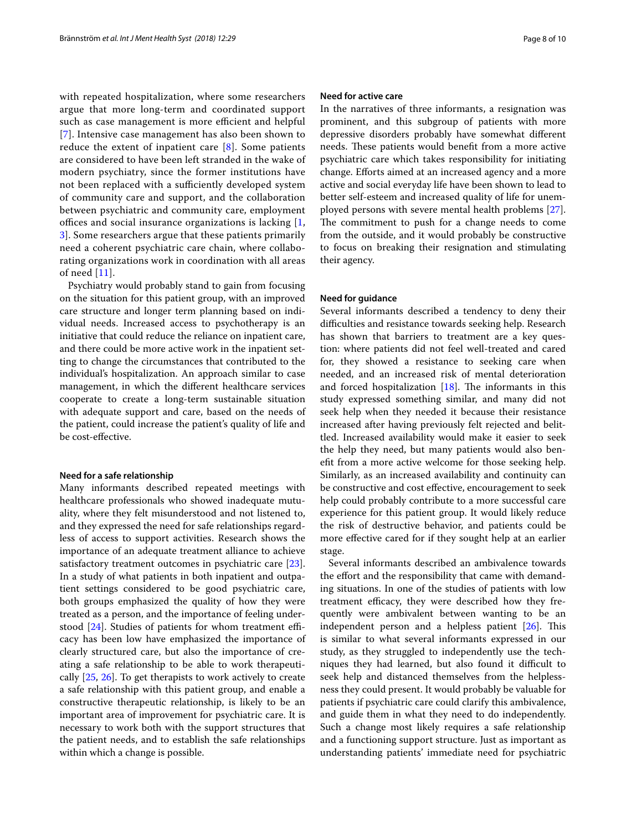with repeated hospitalization, where some researchers argue that more long-term and coordinated support such as case management is more efficient and helpful [[7](#page-9-6)]. Intensive case management has also been shown to reduce the extent of inpatient care  $[8]$  $[8]$  $[8]$ . Some patients are considered to have been left stranded in the wake of modern psychiatry, since the former institutions have not been replaced with a sufficiently developed system of community care and support, and the collaboration between psychiatric and community care, employment offices and social insurance organizations is lacking  $[1, 1]$  $[1, 1]$ [3\]](#page-9-2). Some researchers argue that these patients primarily need a coherent psychiatric care chain, where collaborating organizations work in coordination with all areas of need [[11\]](#page-9-20).

Psychiatry would probably stand to gain from focusing on the situation for this patient group, with an improved care structure and longer term planning based on individual needs. Increased access to psychotherapy is an initiative that could reduce the reliance on inpatient care, and there could be more active work in the inpatient setting to change the circumstances that contributed to the individual's hospitalization. An approach similar to case management, in which the diferent healthcare services cooperate to create a long-term sustainable situation with adequate support and care, based on the needs of the patient, could increase the patient's quality of life and be cost-efective.

#### **Need for a safe relationship**

Many informants described repeated meetings with healthcare professionals who showed inadequate mutuality, where they felt misunderstood and not listened to, and they expressed the need for safe relationships regardless of access to support activities. Research shows the importance of an adequate treatment alliance to achieve satisfactory treatment outcomes in psychiatric care [\[23](#page-9-21)]. In a study of what patients in both inpatient and outpatient settings considered to be good psychiatric care, both groups emphasized the quality of how they were treated as a person, and the importance of feeling understood  $[24]$  $[24]$ . Studies of patients for whom treatment efficacy has been low have emphasized the importance of clearly structured care, but also the importance of creating a safe relationship to be able to work therapeutically [\[25](#page-9-23), [26](#page-9-24)]. To get therapists to work actively to create a safe relationship with this patient group, and enable a constructive therapeutic relationship, is likely to be an important area of improvement for psychiatric care. It is necessary to work both with the support structures that the patient needs, and to establish the safe relationships within which a change is possible.

#### **Need for active care**

In the narratives of three informants, a resignation was prominent, and this subgroup of patients with more depressive disorders probably have somewhat diferent needs. These patients would benefit from a more active psychiatric care which takes responsibility for initiating change. Eforts aimed at an increased agency and a more active and social everyday life have been shown to lead to better self-esteem and increased quality of life for unemployed persons with severe mental health problems [\[27](#page-9-25)]. The commitment to push for a change needs to come from the outside, and it would probably be constructive to focus on breaking their resignation and stimulating their agency.

#### **Need for guidance**

Several informants described a tendency to deny their difficulties and resistance towards seeking help. Research has shown that barriers to treatment are a key question: where patients did not feel well-treated and cared for, they showed a resistance to seeking care when needed, and an increased risk of mental deterioration and forced hospitalization  $[18]$  $[18]$  $[18]$ . The informants in this study expressed something similar, and many did not seek help when they needed it because their resistance increased after having previously felt rejected and belittled. Increased availability would make it easier to seek the help they need, but many patients would also beneft from a more active welcome for those seeking help. Similarly, as an increased availability and continuity can be constructive and cost efective, encouragement to seek help could probably contribute to a more successful care experience for this patient group. It would likely reduce the risk of destructive behavior, and patients could be more efective cared for if they sought help at an earlier stage.

Several informants described an ambivalence towards the effort and the responsibility that came with demanding situations. In one of the studies of patients with low treatment efficacy, they were described how they frequently were ambivalent between wanting to be an independent person and a helpless patient  $[26]$  $[26]$ . This is similar to what several informants expressed in our study, as they struggled to independently use the techniques they had learned, but also found it difficult to seek help and distanced themselves from the helplessness they could present. It would probably be valuable for patients if psychiatric care could clarify this ambivalence, and guide them in what they need to do independently. Such a change most likely requires a safe relationship and a functioning support structure. Just as important as understanding patients' immediate need for psychiatric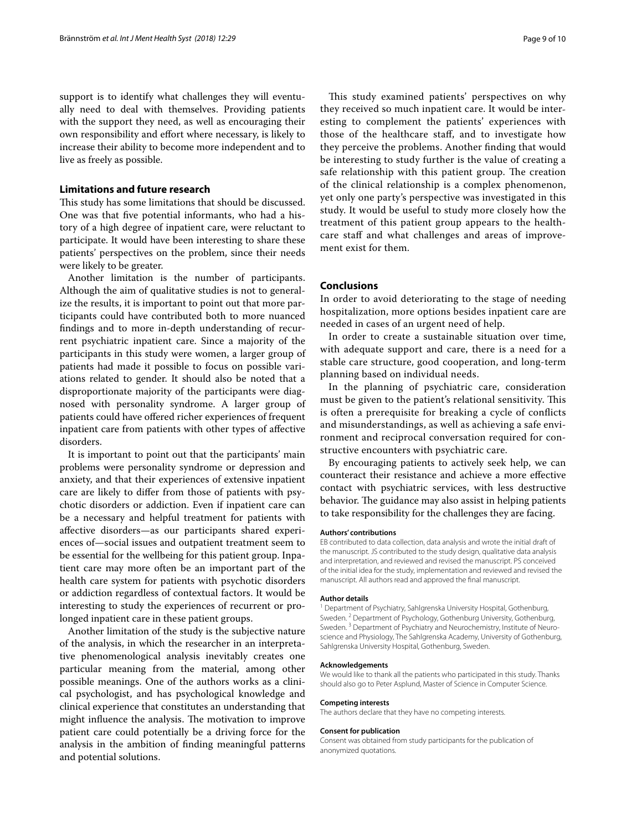support is to identify what challenges they will eventually need to deal with themselves. Providing patients with the support they need, as well as encouraging their own responsibility and efort where necessary, is likely to increase their ability to become more independent and to live as freely as possible.

# **Limitations and future research**

This study has some limitations that should be discussed. One was that fve potential informants, who had a history of a high degree of inpatient care, were reluctant to participate. It would have been interesting to share these patients' perspectives on the problem, since their needs were likely to be greater.

Another limitation is the number of participants. Although the aim of qualitative studies is not to generalize the results, it is important to point out that more participants could have contributed both to more nuanced fndings and to more in-depth understanding of recurrent psychiatric inpatient care. Since a majority of the participants in this study were women, a larger group of patients had made it possible to focus on possible variations related to gender. It should also be noted that a disproportionate majority of the participants were diagnosed with personality syndrome. A larger group of patients could have ofered richer experiences of frequent inpatient care from patients with other types of afective disorders.

It is important to point out that the participants' main problems were personality syndrome or depression and anxiety, and that their experiences of extensive inpatient care are likely to difer from those of patients with psychotic disorders or addiction. Even if inpatient care can be a necessary and helpful treatment for patients with afective disorders—as our participants shared experiences of—social issues and outpatient treatment seem to be essential for the wellbeing for this patient group. Inpatient care may more often be an important part of the health care system for patients with psychotic disorders or addiction regardless of contextual factors. It would be interesting to study the experiences of recurrent or prolonged inpatient care in these patient groups.

Another limitation of the study is the subjective nature of the analysis, in which the researcher in an interpretative phenomenological analysis inevitably creates one particular meaning from the material, among other possible meanings. One of the authors works as a clinical psychologist, and has psychological knowledge and clinical experience that constitutes an understanding that might influence the analysis. The motivation to improve patient care could potentially be a driving force for the analysis in the ambition of fnding meaningful patterns and potential solutions.

This study examined patients' perspectives on why they received so much inpatient care. It would be interesting to complement the patients' experiences with those of the healthcare staf, and to investigate how they perceive the problems. Another fnding that would be interesting to study further is the value of creating a safe relationship with this patient group. The creation of the clinical relationship is a complex phenomenon, yet only one party's perspective was investigated in this study. It would be useful to study more closely how the treatment of this patient group appears to the healthcare staff and what challenges and areas of improvement exist for them.

# **Conclusions**

In order to avoid deteriorating to the stage of needing hospitalization, more options besides inpatient care are needed in cases of an urgent need of help.

In order to create a sustainable situation over time, with adequate support and care, there is a need for a stable care structure, good cooperation, and long-term planning based on individual needs.

In the planning of psychiatric care, consideration must be given to the patient's relational sensitivity. This is often a prerequisite for breaking a cycle of conficts and misunderstandings, as well as achieving a safe environment and reciprocal conversation required for constructive encounters with psychiatric care.

By encouraging patients to actively seek help, we can counteract their resistance and achieve a more efective contact with psychiatric services, with less destructive behavior. The guidance may also assist in helping patients to take responsibility for the challenges they are facing.

#### **Authors' contributions**

EB contributed to data collection, data analysis and wrote the initial draft of the manuscript. JS contributed to the study design, qualitative data analysis and interpretation, and reviewed and revised the manuscript. PS conceived of the initial idea for the study, implementation and reviewed and revised the manuscript. All authors read and approved the fnal manuscript.

#### **Author details**

<sup>1</sup> Department of Psychiatry, Sahlgrenska University Hospital, Gothenburg, Sweden. <sup>2</sup> Department of Psychology, Gothenburg University, Gothenburg, Sweden.<sup>3</sup> Department of Psychiatry and Neurochemistry, Institute of Neuroscience and Physiology, The Sahlgrenska Academy, University of Gothenburg, Sahlgrenska University Hospital, Gothenburg, Sweden.

#### **Acknowledgements**

We would like to thank all the patients who participated in this study. Thanks should also go to Peter Asplund, Master of Science in Computer Science.

#### **Competing interests**

The authors declare that they have no competing interests.

#### **Consent for publication**

Consent was obtained from study participants for the publication of anonymized quotations.